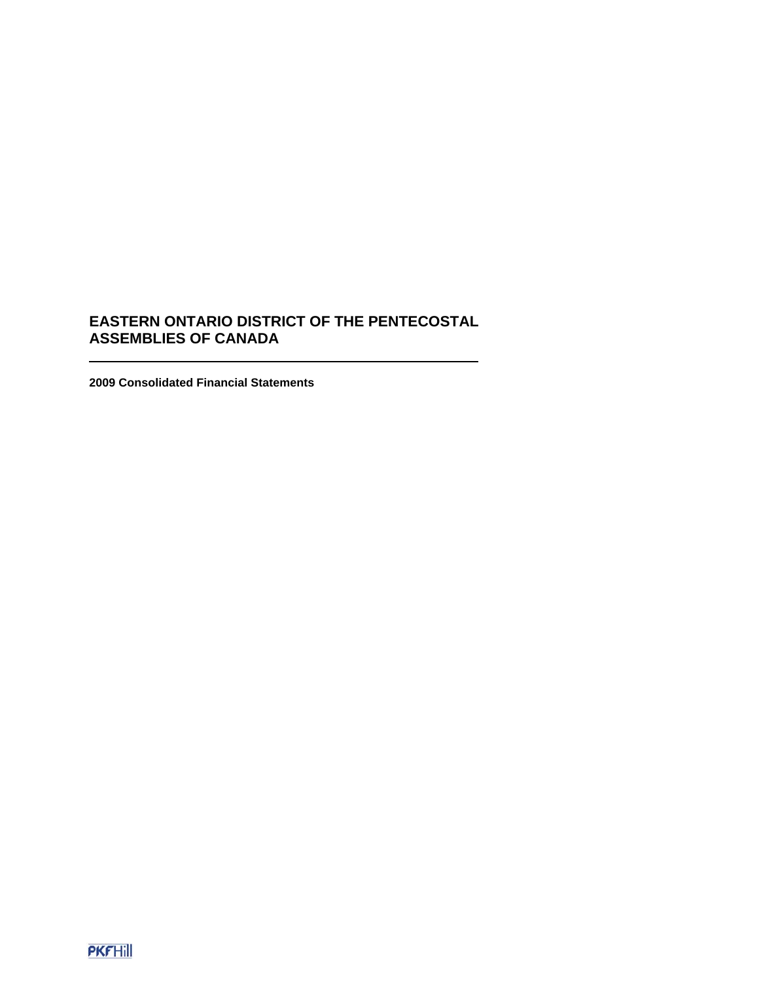**2009 Consolidated Financial Statements**

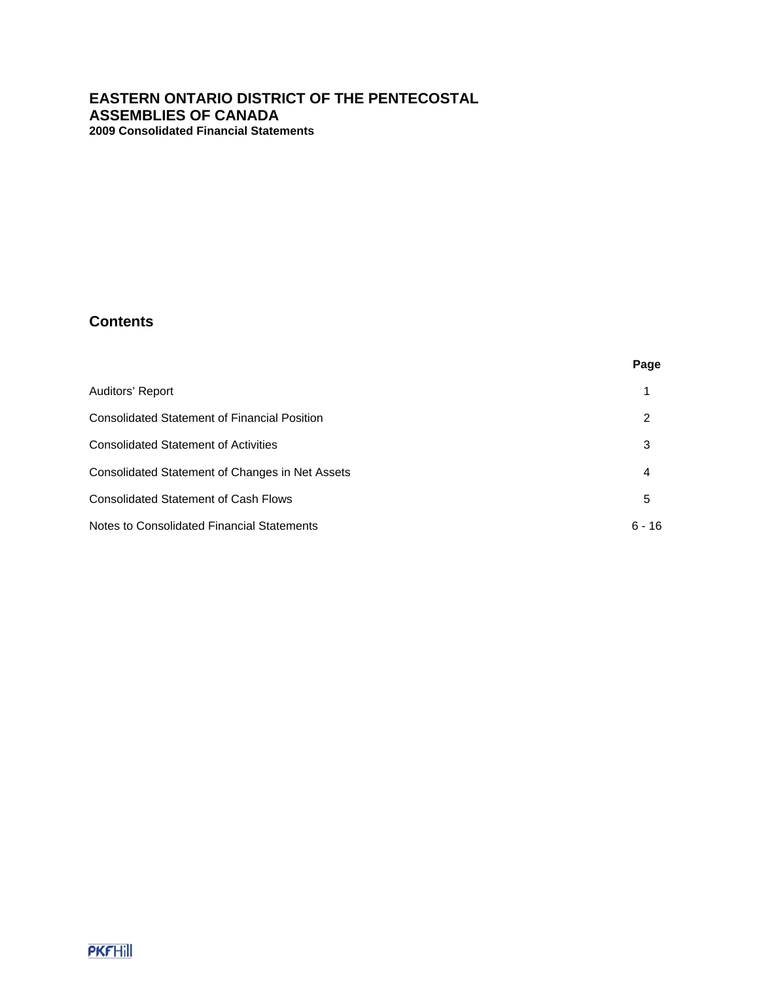# **Contents**

|                                                     | Page     |
|-----------------------------------------------------|----------|
| Auditors' Report                                    |          |
| <b>Consolidated Statement of Financial Position</b> | 2        |
| <b>Consolidated Statement of Activities</b>         | 3        |
| Consolidated Statement of Changes in Net Assets     | 4        |
| <b>Consolidated Statement of Cash Flows</b>         | 5        |
| Notes to Consolidated Financial Statements          | $6 - 16$ |

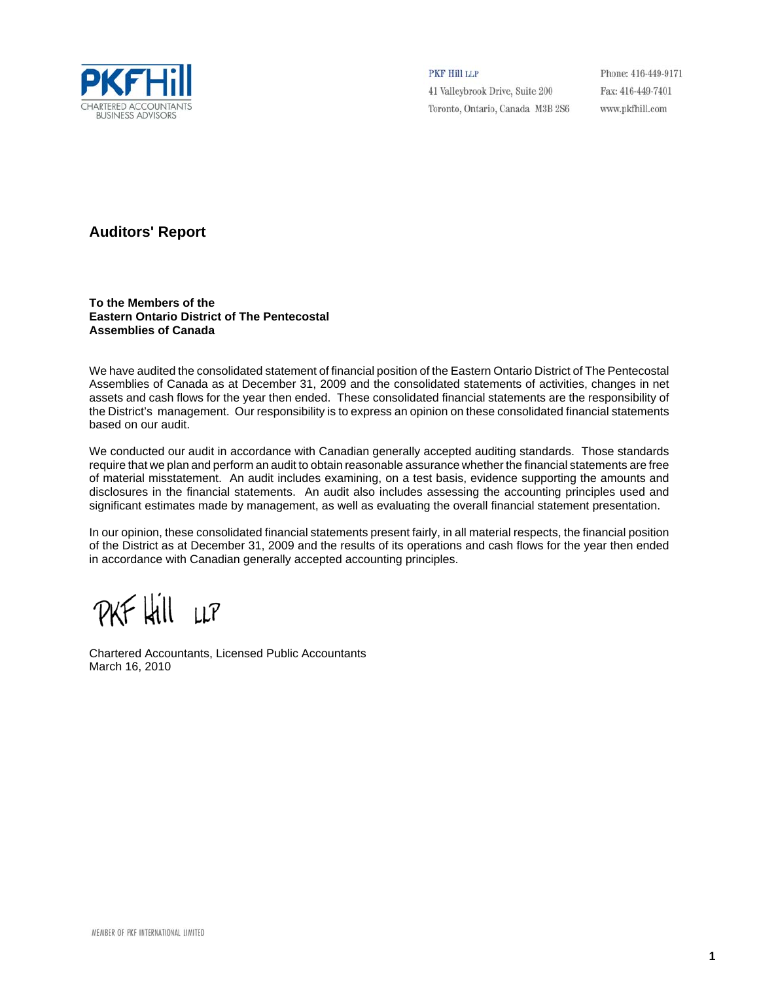

PKF Hill LLP

41 Valleybrook Drive, Suite 200 Toronto, Ontario, Canada M3B 2S6

Phone: 416-449-9171 Fax: 416-449-7401 www.pkfhill.com

# **Auditors' Report**

**To the Members of the Eastern Ontario District of The Pentecostal Assemblies of Canada**

We have audited the consolidated statement of financial position of the Eastern Ontario District of The Pentecostal Assemblies of Canada as at December 31, 2009 and the consolidated statements of activities, changes in net assets and cash flows for the year then ended. These consolidated financial statements are the responsibility of the District's management. Our responsibility is to express an opinion on these consolidated financial statements based on our audit.

We conducted our audit in accordance with Canadian generally accepted auditing standards. Those standards require that we plan and perform an audit to obtain reasonable assurance whether the financial statements are free of material misstatement. An audit includes examining, on a test basis, evidence supporting the amounts and disclosures in the financial statements. An audit also includes assessing the accounting principles used and significant estimates made by management, as well as evaluating the overall financial statement presentation.

In our opinion, these consolidated financial statements present fairly, in all material respects, the financial position of the District as at December 31, 2009 and the results of its operations and cash flows for the year then ended in accordance with Canadian generally accepted accounting principles.

PKF Hill LLP

Chartered Accountants, Licensed Public Accountants March 16, 2010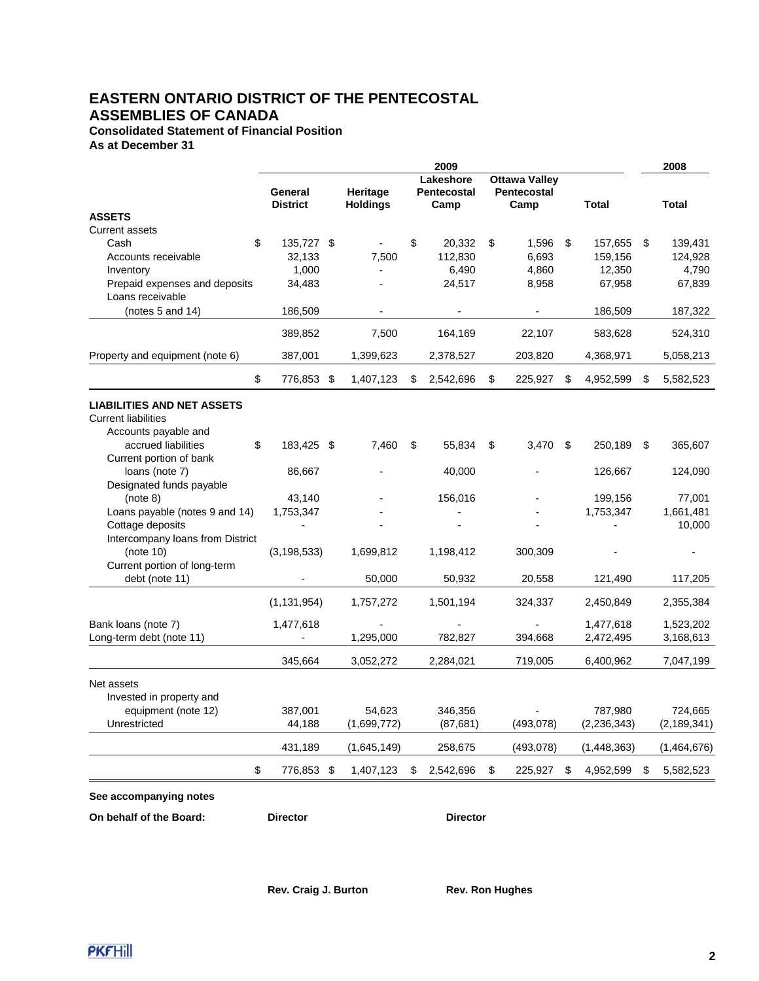**Consolidated Statement of Financial Position As at December 31**

|                                                                 |                            |                             | 2009                                    |                                                    |    |               | 2008            |
|-----------------------------------------------------------------|----------------------------|-----------------------------|-----------------------------------------|----------------------------------------------------|----|---------------|-----------------|
|                                                                 | General<br><b>District</b> | Heritage<br><b>Holdings</b> | Lakeshore<br><b>Pentecostal</b><br>Camp | <b>Ottawa Valley</b><br><b>Pentecostal</b><br>Camp |    | <b>Total</b>  | Total           |
| <b>ASSETS</b>                                                   |                            |                             |                                         |                                                    |    |               |                 |
| <b>Current assets</b>                                           |                            |                             |                                         |                                                    |    |               |                 |
| Cash                                                            | \$<br>135,727 \$           |                             | \$<br>20,332                            | \$<br>1,596                                        | \$ | 157,655       | \$<br>139,431   |
| Accounts receivable                                             | 32,133                     | 7,500                       | 112,830                                 | 6,693                                              |    | 159,156       | 124,928         |
| Inventory                                                       | 1,000                      |                             | 6,490                                   | 4,860                                              |    | 12,350        | 4,790           |
| Prepaid expenses and deposits<br>Loans receivable               | 34,483                     |                             | 24,517                                  | 8,958                                              |    | 67,958        | 67,839          |
| (notes $5$ and $14$ )                                           | 186,509                    |                             |                                         |                                                    |    | 186,509       | 187,322         |
|                                                                 | 389,852                    | 7,500                       | 164,169                                 | 22,107                                             |    | 583,628       | 524,310         |
| Property and equipment (note 6)                                 | 387,001                    | 1,399,623                   | 2,378,527                               | 203,820                                            |    | 4,368,971     | 5,058,213       |
|                                                                 |                            |                             |                                         |                                                    |    |               |                 |
|                                                                 | \$<br>776,853 \$           | 1,407,123                   | \$<br>2,542,696                         | \$<br>225,927                                      | S  | 4,952,599     | \$<br>5,582,523 |
| <b>LIABILITIES AND NET ASSETS</b><br><b>Current liabilities</b> |                            |                             |                                         |                                                    |    |               |                 |
| Accounts payable and                                            |                            |                             |                                         |                                                    |    |               |                 |
| accrued liabilities                                             | \$<br>183,425 \$           | 7,460                       | \$<br>55,834                            | \$<br>$3,470$ \$                                   |    | 250,189       | \$<br>365,607   |
| Current portion of bank<br>loans (note 7)                       | 86,667                     |                             | 40,000                                  |                                                    |    | 126,667       | 124,090         |
| Designated funds payable                                        |                            |                             |                                         |                                                    |    |               |                 |
| (note 8)                                                        | 43,140                     |                             | 156,016                                 |                                                    |    | 199,156       | 77,001          |
| Loans payable (notes 9 and 14)                                  | 1,753,347                  |                             |                                         |                                                    |    | 1,753,347     | 1,661,481       |
| Cottage deposits                                                |                            |                             |                                         |                                                    |    |               | 10,000          |
| Intercompany loans from District                                |                            |                             |                                         |                                                    |    |               |                 |
| (note 10)                                                       | (3, 198, 533)              | 1,699,812                   | 1,198,412                               | 300,309                                            |    |               |                 |
| Current portion of long-term                                    |                            |                             |                                         |                                                    |    |               |                 |
| debt (note 11)                                                  |                            | 50,000                      | 50,932                                  | 20,558                                             |    | 121,490       | 117,205         |
|                                                                 | (1, 131, 954)              | 1,757,272                   | 1,501,194                               | 324,337                                            |    | 2,450,849     | 2,355,384       |
| Bank loans (note 7)                                             | 1,477,618                  |                             |                                         |                                                    |    | 1,477,618     | 1,523,202       |
| Long-term debt (note 11)                                        |                            | 1,295,000                   | 782,827                                 | 394,668                                            |    | 2,472,495     | 3,168,613       |
|                                                                 | 345,664                    | 3,052,272                   | 2,284,021                               | 719,005                                            |    | 6,400,962     | 7,047,199       |
| Net assets                                                      |                            |                             |                                         |                                                    |    |               |                 |
| Invested in property and                                        |                            |                             |                                         |                                                    |    |               |                 |
| equipment (note 12)                                             | 387,001                    | 54,623                      | 346,356                                 |                                                    |    | 787,980       | 724,665         |
| Unrestricted                                                    | 44,188                     | (1,699,772)                 | (87, 681)                               | (493,078)                                          |    | (2, 236, 343) | (2, 189, 341)   |
|                                                                 | 431,189                    | (1,645,149)                 | 258,675                                 | (493, 078)                                         |    | (1,448,363)   | (1,464,676)     |
|                                                                 | \$<br>776,853 \$           | 1,407,123                   | \$<br>2,542,696                         | \$<br>225,927                                      | \$ | 4,952,599     | \$<br>5,582,523 |
| See accompanying notes                                          |                            |                             |                                         |                                                    |    |               |                 |

**On behalf of the Board: Director Director**

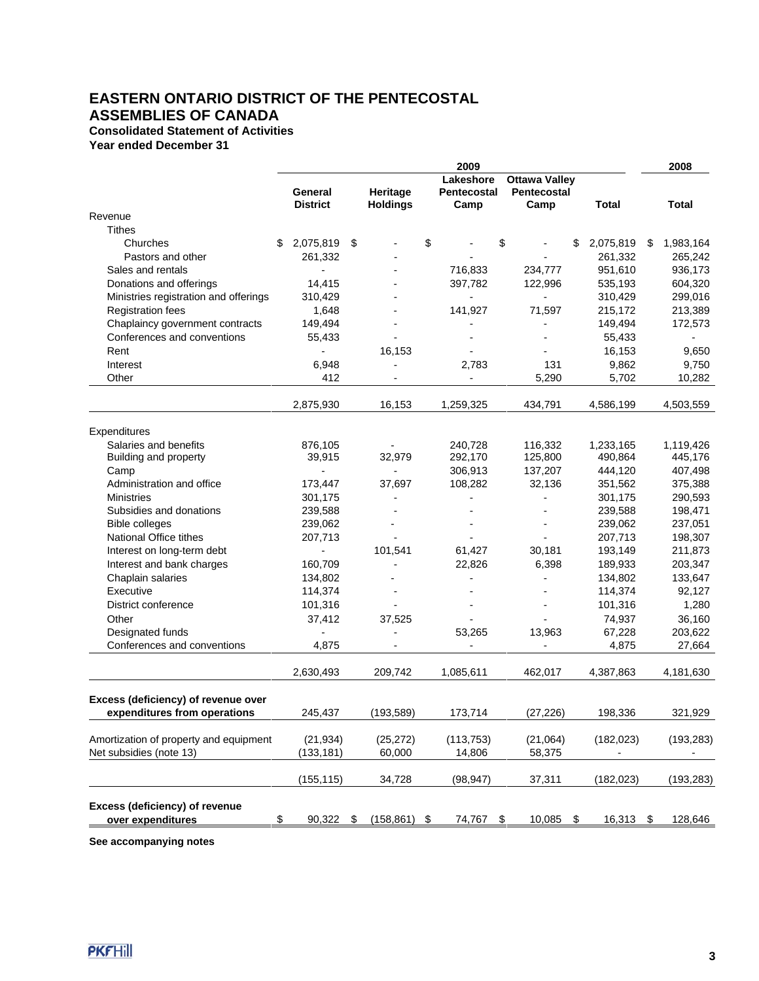## **Consolidated Statement of Activities**

**Year ended December 31**

| Lakeshore<br><b>Ottawa Valley</b><br>Heritage<br>Pentecostal<br>General<br>Pentecostal<br><b>Holdings</b><br><b>District</b><br>Camp<br>Camp<br><b>Total</b><br>Total<br>Revenue<br><b>Tithes</b><br>\$<br>\$<br>Churches<br>\$<br>2,075,819<br>- \$<br>\$<br>2,075,819<br>\$<br>1,983,164<br>261,332<br>261,332<br>265,242<br>Pastors and other<br>Sales and rentals<br>716,833<br>951,610<br>936,173<br>234,777<br>$\overline{\phantom{a}}$<br>14,415<br>397,782<br>122,996<br>604,320<br>Donations and offerings<br>535,193<br>Ministries registration and offerings<br>310,429<br>310,429<br>299,016<br>$\overline{\phantom{0}}$<br><b>Registration fees</b><br>1,648<br>141,927<br>71,597<br>213,389<br>215,172<br>Chaplaincy government contracts<br>149,494<br>149,494<br>172,573<br>Conferences and conventions<br>55,433<br>55,433<br>$\overline{\phantom{a}}$<br>16,153<br>16,153<br>Rent<br>9,650<br>Interest<br>6,948<br>2,783<br>131<br>9,862<br>9,750<br>Other<br>5,290<br>5,702<br>412<br>10,282<br>2,875,930<br>16,153<br>1,259,325<br>434,791<br>4,586,199<br>4,503,559<br>Expenditures<br>Salaries and benefits<br>116,332<br>876,105<br>240,728<br>1,233,165<br>1,119,426<br>Building and property<br>39,915<br>32,979<br>292,170<br>125,800<br>490,864<br>445,176<br>407,498<br>Camp<br>306,913<br>137,207<br>444,120<br>$\overline{a}$<br>108,282<br>32,136<br>Administration and office<br>173,447<br>37,697<br>351,562<br>375,388<br><b>Ministries</b><br>301,175<br>301,175<br>290,593<br>239,588<br>239,588<br>198,471<br>Subsidies and donations<br><b>Bible colleges</b><br>239,062<br>239,062<br>237,051<br>National Office tithes<br>207,713<br>207,713<br>198,307<br>101,541<br>211,873<br>Interest on long-term debt<br>61,427<br>30,181<br>193,149<br>÷,<br>Interest and bank charges<br>22,826<br>6,398<br>160,709<br>189,933<br>203,347<br>Chaplain salaries<br>133,647<br>134,802<br>134,802<br>$\overline{a}$<br>Executive<br>114,374<br>114,374<br>92,127<br>1,280<br>District conference<br>101,316<br>101,316<br>$\blacksquare$<br>Other<br>36,160<br>37,412<br>37,525<br>74,937<br>Designated funds<br>53,265<br>13,963<br>67,228<br>203,622<br>Conferences and conventions<br>4,875<br>4,875<br>27,664<br>2,630,493<br>209,742<br>1,085,611<br>462,017<br>4,387,863<br>4,181,630<br>Excess (deficiency) of revenue over<br>245,437<br>(193, 589)<br>173,714<br>(27, 226)<br>321,929<br>198,336<br>expenditures from operations<br>(21, 934)<br>Amortization of property and equipment<br>(25, 272)<br>(113, 753)<br>(21,064)<br>(182, 023)<br>(193, 283)<br>Net subsidies (note 13)<br>(133, 181)<br>60,000<br>14,806<br>58,375<br>$\overline{a}$<br>(155, 115)<br>34,728<br>(98, 947)<br>37,311<br>(182, 023)<br>(193, 283)<br>Excess (deficiency) of revenue<br>over expenditures<br>90,322<br>\$<br>(158, 861)<br>74,767<br>\$<br>10,085<br>$\frac{1}{2}$<br>16,313<br>128,646<br>\$<br>\$<br>\$ |  |  | 2009 |  |  | 2008 |
|----------------------------------------------------------------------------------------------------------------------------------------------------------------------------------------------------------------------------------------------------------------------------------------------------------------------------------------------------------------------------------------------------------------------------------------------------------------------------------------------------------------------------------------------------------------------------------------------------------------------------------------------------------------------------------------------------------------------------------------------------------------------------------------------------------------------------------------------------------------------------------------------------------------------------------------------------------------------------------------------------------------------------------------------------------------------------------------------------------------------------------------------------------------------------------------------------------------------------------------------------------------------------------------------------------------------------------------------------------------------------------------------------------------------------------------------------------------------------------------------------------------------------------------------------------------------------------------------------------------------------------------------------------------------------------------------------------------------------------------------------------------------------------------------------------------------------------------------------------------------------------------------------------------------------------------------------------------------------------------------------------------------------------------------------------------------------------------------------------------------------------------------------------------------------------------------------------------------------------------------------------------------------------------------------------------------------------------------------------------------------------------------------------------------------------------------------------------------------------------------------------------------------------------------------------------------------------------------------------------------------------------------------------------------------------------------------------------------------------------------------------------------------------------------------------------------------------------------------------------------------------------------------------------------------------------------|--|--|------|--|--|------|
|                                                                                                                                                                                                                                                                                                                                                                                                                                                                                                                                                                                                                                                                                                                                                                                                                                                                                                                                                                                                                                                                                                                                                                                                                                                                                                                                                                                                                                                                                                                                                                                                                                                                                                                                                                                                                                                                                                                                                                                                                                                                                                                                                                                                                                                                                                                                                                                                                                                                                                                                                                                                                                                                                                                                                                                                                                                                                                                                              |  |  |      |  |  |      |
|                                                                                                                                                                                                                                                                                                                                                                                                                                                                                                                                                                                                                                                                                                                                                                                                                                                                                                                                                                                                                                                                                                                                                                                                                                                                                                                                                                                                                                                                                                                                                                                                                                                                                                                                                                                                                                                                                                                                                                                                                                                                                                                                                                                                                                                                                                                                                                                                                                                                                                                                                                                                                                                                                                                                                                                                                                                                                                                                              |  |  |      |  |  |      |
|                                                                                                                                                                                                                                                                                                                                                                                                                                                                                                                                                                                                                                                                                                                                                                                                                                                                                                                                                                                                                                                                                                                                                                                                                                                                                                                                                                                                                                                                                                                                                                                                                                                                                                                                                                                                                                                                                                                                                                                                                                                                                                                                                                                                                                                                                                                                                                                                                                                                                                                                                                                                                                                                                                                                                                                                                                                                                                                                              |  |  |      |  |  |      |
|                                                                                                                                                                                                                                                                                                                                                                                                                                                                                                                                                                                                                                                                                                                                                                                                                                                                                                                                                                                                                                                                                                                                                                                                                                                                                                                                                                                                                                                                                                                                                                                                                                                                                                                                                                                                                                                                                                                                                                                                                                                                                                                                                                                                                                                                                                                                                                                                                                                                                                                                                                                                                                                                                                                                                                                                                                                                                                                                              |  |  |      |  |  |      |
|                                                                                                                                                                                                                                                                                                                                                                                                                                                                                                                                                                                                                                                                                                                                                                                                                                                                                                                                                                                                                                                                                                                                                                                                                                                                                                                                                                                                                                                                                                                                                                                                                                                                                                                                                                                                                                                                                                                                                                                                                                                                                                                                                                                                                                                                                                                                                                                                                                                                                                                                                                                                                                                                                                                                                                                                                                                                                                                                              |  |  |      |  |  |      |
|                                                                                                                                                                                                                                                                                                                                                                                                                                                                                                                                                                                                                                                                                                                                                                                                                                                                                                                                                                                                                                                                                                                                                                                                                                                                                                                                                                                                                                                                                                                                                                                                                                                                                                                                                                                                                                                                                                                                                                                                                                                                                                                                                                                                                                                                                                                                                                                                                                                                                                                                                                                                                                                                                                                                                                                                                                                                                                                                              |  |  |      |  |  |      |
|                                                                                                                                                                                                                                                                                                                                                                                                                                                                                                                                                                                                                                                                                                                                                                                                                                                                                                                                                                                                                                                                                                                                                                                                                                                                                                                                                                                                                                                                                                                                                                                                                                                                                                                                                                                                                                                                                                                                                                                                                                                                                                                                                                                                                                                                                                                                                                                                                                                                                                                                                                                                                                                                                                                                                                                                                                                                                                                                              |  |  |      |  |  |      |
|                                                                                                                                                                                                                                                                                                                                                                                                                                                                                                                                                                                                                                                                                                                                                                                                                                                                                                                                                                                                                                                                                                                                                                                                                                                                                                                                                                                                                                                                                                                                                                                                                                                                                                                                                                                                                                                                                                                                                                                                                                                                                                                                                                                                                                                                                                                                                                                                                                                                                                                                                                                                                                                                                                                                                                                                                                                                                                                                              |  |  |      |  |  |      |
|                                                                                                                                                                                                                                                                                                                                                                                                                                                                                                                                                                                                                                                                                                                                                                                                                                                                                                                                                                                                                                                                                                                                                                                                                                                                                                                                                                                                                                                                                                                                                                                                                                                                                                                                                                                                                                                                                                                                                                                                                                                                                                                                                                                                                                                                                                                                                                                                                                                                                                                                                                                                                                                                                                                                                                                                                                                                                                                                              |  |  |      |  |  |      |
|                                                                                                                                                                                                                                                                                                                                                                                                                                                                                                                                                                                                                                                                                                                                                                                                                                                                                                                                                                                                                                                                                                                                                                                                                                                                                                                                                                                                                                                                                                                                                                                                                                                                                                                                                                                                                                                                                                                                                                                                                                                                                                                                                                                                                                                                                                                                                                                                                                                                                                                                                                                                                                                                                                                                                                                                                                                                                                                                              |  |  |      |  |  |      |
|                                                                                                                                                                                                                                                                                                                                                                                                                                                                                                                                                                                                                                                                                                                                                                                                                                                                                                                                                                                                                                                                                                                                                                                                                                                                                                                                                                                                                                                                                                                                                                                                                                                                                                                                                                                                                                                                                                                                                                                                                                                                                                                                                                                                                                                                                                                                                                                                                                                                                                                                                                                                                                                                                                                                                                                                                                                                                                                                              |  |  |      |  |  |      |
|                                                                                                                                                                                                                                                                                                                                                                                                                                                                                                                                                                                                                                                                                                                                                                                                                                                                                                                                                                                                                                                                                                                                                                                                                                                                                                                                                                                                                                                                                                                                                                                                                                                                                                                                                                                                                                                                                                                                                                                                                                                                                                                                                                                                                                                                                                                                                                                                                                                                                                                                                                                                                                                                                                                                                                                                                                                                                                                                              |  |  |      |  |  |      |
|                                                                                                                                                                                                                                                                                                                                                                                                                                                                                                                                                                                                                                                                                                                                                                                                                                                                                                                                                                                                                                                                                                                                                                                                                                                                                                                                                                                                                                                                                                                                                                                                                                                                                                                                                                                                                                                                                                                                                                                                                                                                                                                                                                                                                                                                                                                                                                                                                                                                                                                                                                                                                                                                                                                                                                                                                                                                                                                                              |  |  |      |  |  |      |
|                                                                                                                                                                                                                                                                                                                                                                                                                                                                                                                                                                                                                                                                                                                                                                                                                                                                                                                                                                                                                                                                                                                                                                                                                                                                                                                                                                                                                                                                                                                                                                                                                                                                                                                                                                                                                                                                                                                                                                                                                                                                                                                                                                                                                                                                                                                                                                                                                                                                                                                                                                                                                                                                                                                                                                                                                                                                                                                                              |  |  |      |  |  |      |
|                                                                                                                                                                                                                                                                                                                                                                                                                                                                                                                                                                                                                                                                                                                                                                                                                                                                                                                                                                                                                                                                                                                                                                                                                                                                                                                                                                                                                                                                                                                                                                                                                                                                                                                                                                                                                                                                                                                                                                                                                                                                                                                                                                                                                                                                                                                                                                                                                                                                                                                                                                                                                                                                                                                                                                                                                                                                                                                                              |  |  |      |  |  |      |
|                                                                                                                                                                                                                                                                                                                                                                                                                                                                                                                                                                                                                                                                                                                                                                                                                                                                                                                                                                                                                                                                                                                                                                                                                                                                                                                                                                                                                                                                                                                                                                                                                                                                                                                                                                                                                                                                                                                                                                                                                                                                                                                                                                                                                                                                                                                                                                                                                                                                                                                                                                                                                                                                                                                                                                                                                                                                                                                                              |  |  |      |  |  |      |
|                                                                                                                                                                                                                                                                                                                                                                                                                                                                                                                                                                                                                                                                                                                                                                                                                                                                                                                                                                                                                                                                                                                                                                                                                                                                                                                                                                                                                                                                                                                                                                                                                                                                                                                                                                                                                                                                                                                                                                                                                                                                                                                                                                                                                                                                                                                                                                                                                                                                                                                                                                                                                                                                                                                                                                                                                                                                                                                                              |  |  |      |  |  |      |
|                                                                                                                                                                                                                                                                                                                                                                                                                                                                                                                                                                                                                                                                                                                                                                                                                                                                                                                                                                                                                                                                                                                                                                                                                                                                                                                                                                                                                                                                                                                                                                                                                                                                                                                                                                                                                                                                                                                                                                                                                                                                                                                                                                                                                                                                                                                                                                                                                                                                                                                                                                                                                                                                                                                                                                                                                                                                                                                                              |  |  |      |  |  |      |
|                                                                                                                                                                                                                                                                                                                                                                                                                                                                                                                                                                                                                                                                                                                                                                                                                                                                                                                                                                                                                                                                                                                                                                                                                                                                                                                                                                                                                                                                                                                                                                                                                                                                                                                                                                                                                                                                                                                                                                                                                                                                                                                                                                                                                                                                                                                                                                                                                                                                                                                                                                                                                                                                                                                                                                                                                                                                                                                                              |  |  |      |  |  |      |
|                                                                                                                                                                                                                                                                                                                                                                                                                                                                                                                                                                                                                                                                                                                                                                                                                                                                                                                                                                                                                                                                                                                                                                                                                                                                                                                                                                                                                                                                                                                                                                                                                                                                                                                                                                                                                                                                                                                                                                                                                                                                                                                                                                                                                                                                                                                                                                                                                                                                                                                                                                                                                                                                                                                                                                                                                                                                                                                                              |  |  |      |  |  |      |
|                                                                                                                                                                                                                                                                                                                                                                                                                                                                                                                                                                                                                                                                                                                                                                                                                                                                                                                                                                                                                                                                                                                                                                                                                                                                                                                                                                                                                                                                                                                                                                                                                                                                                                                                                                                                                                                                                                                                                                                                                                                                                                                                                                                                                                                                                                                                                                                                                                                                                                                                                                                                                                                                                                                                                                                                                                                                                                                                              |  |  |      |  |  |      |
|                                                                                                                                                                                                                                                                                                                                                                                                                                                                                                                                                                                                                                                                                                                                                                                                                                                                                                                                                                                                                                                                                                                                                                                                                                                                                                                                                                                                                                                                                                                                                                                                                                                                                                                                                                                                                                                                                                                                                                                                                                                                                                                                                                                                                                                                                                                                                                                                                                                                                                                                                                                                                                                                                                                                                                                                                                                                                                                                              |  |  |      |  |  |      |
|                                                                                                                                                                                                                                                                                                                                                                                                                                                                                                                                                                                                                                                                                                                                                                                                                                                                                                                                                                                                                                                                                                                                                                                                                                                                                                                                                                                                                                                                                                                                                                                                                                                                                                                                                                                                                                                                                                                                                                                                                                                                                                                                                                                                                                                                                                                                                                                                                                                                                                                                                                                                                                                                                                                                                                                                                                                                                                                                              |  |  |      |  |  |      |
|                                                                                                                                                                                                                                                                                                                                                                                                                                                                                                                                                                                                                                                                                                                                                                                                                                                                                                                                                                                                                                                                                                                                                                                                                                                                                                                                                                                                                                                                                                                                                                                                                                                                                                                                                                                                                                                                                                                                                                                                                                                                                                                                                                                                                                                                                                                                                                                                                                                                                                                                                                                                                                                                                                                                                                                                                                                                                                                                              |  |  |      |  |  |      |
|                                                                                                                                                                                                                                                                                                                                                                                                                                                                                                                                                                                                                                                                                                                                                                                                                                                                                                                                                                                                                                                                                                                                                                                                                                                                                                                                                                                                                                                                                                                                                                                                                                                                                                                                                                                                                                                                                                                                                                                                                                                                                                                                                                                                                                                                                                                                                                                                                                                                                                                                                                                                                                                                                                                                                                                                                                                                                                                                              |  |  |      |  |  |      |
|                                                                                                                                                                                                                                                                                                                                                                                                                                                                                                                                                                                                                                                                                                                                                                                                                                                                                                                                                                                                                                                                                                                                                                                                                                                                                                                                                                                                                                                                                                                                                                                                                                                                                                                                                                                                                                                                                                                                                                                                                                                                                                                                                                                                                                                                                                                                                                                                                                                                                                                                                                                                                                                                                                                                                                                                                                                                                                                                              |  |  |      |  |  |      |
|                                                                                                                                                                                                                                                                                                                                                                                                                                                                                                                                                                                                                                                                                                                                                                                                                                                                                                                                                                                                                                                                                                                                                                                                                                                                                                                                                                                                                                                                                                                                                                                                                                                                                                                                                                                                                                                                                                                                                                                                                                                                                                                                                                                                                                                                                                                                                                                                                                                                                                                                                                                                                                                                                                                                                                                                                                                                                                                                              |  |  |      |  |  |      |
|                                                                                                                                                                                                                                                                                                                                                                                                                                                                                                                                                                                                                                                                                                                                                                                                                                                                                                                                                                                                                                                                                                                                                                                                                                                                                                                                                                                                                                                                                                                                                                                                                                                                                                                                                                                                                                                                                                                                                                                                                                                                                                                                                                                                                                                                                                                                                                                                                                                                                                                                                                                                                                                                                                                                                                                                                                                                                                                                              |  |  |      |  |  |      |
|                                                                                                                                                                                                                                                                                                                                                                                                                                                                                                                                                                                                                                                                                                                                                                                                                                                                                                                                                                                                                                                                                                                                                                                                                                                                                                                                                                                                                                                                                                                                                                                                                                                                                                                                                                                                                                                                                                                                                                                                                                                                                                                                                                                                                                                                                                                                                                                                                                                                                                                                                                                                                                                                                                                                                                                                                                                                                                                                              |  |  |      |  |  |      |
|                                                                                                                                                                                                                                                                                                                                                                                                                                                                                                                                                                                                                                                                                                                                                                                                                                                                                                                                                                                                                                                                                                                                                                                                                                                                                                                                                                                                                                                                                                                                                                                                                                                                                                                                                                                                                                                                                                                                                                                                                                                                                                                                                                                                                                                                                                                                                                                                                                                                                                                                                                                                                                                                                                                                                                                                                                                                                                                                              |  |  |      |  |  |      |
|                                                                                                                                                                                                                                                                                                                                                                                                                                                                                                                                                                                                                                                                                                                                                                                                                                                                                                                                                                                                                                                                                                                                                                                                                                                                                                                                                                                                                                                                                                                                                                                                                                                                                                                                                                                                                                                                                                                                                                                                                                                                                                                                                                                                                                                                                                                                                                                                                                                                                                                                                                                                                                                                                                                                                                                                                                                                                                                                              |  |  |      |  |  |      |
|                                                                                                                                                                                                                                                                                                                                                                                                                                                                                                                                                                                                                                                                                                                                                                                                                                                                                                                                                                                                                                                                                                                                                                                                                                                                                                                                                                                                                                                                                                                                                                                                                                                                                                                                                                                                                                                                                                                                                                                                                                                                                                                                                                                                                                                                                                                                                                                                                                                                                                                                                                                                                                                                                                                                                                                                                                                                                                                                              |  |  |      |  |  |      |
|                                                                                                                                                                                                                                                                                                                                                                                                                                                                                                                                                                                                                                                                                                                                                                                                                                                                                                                                                                                                                                                                                                                                                                                                                                                                                                                                                                                                                                                                                                                                                                                                                                                                                                                                                                                                                                                                                                                                                                                                                                                                                                                                                                                                                                                                                                                                                                                                                                                                                                                                                                                                                                                                                                                                                                                                                                                                                                                                              |  |  |      |  |  |      |
|                                                                                                                                                                                                                                                                                                                                                                                                                                                                                                                                                                                                                                                                                                                                                                                                                                                                                                                                                                                                                                                                                                                                                                                                                                                                                                                                                                                                                                                                                                                                                                                                                                                                                                                                                                                                                                                                                                                                                                                                                                                                                                                                                                                                                                                                                                                                                                                                                                                                                                                                                                                                                                                                                                                                                                                                                                                                                                                                              |  |  |      |  |  |      |
|                                                                                                                                                                                                                                                                                                                                                                                                                                                                                                                                                                                                                                                                                                                                                                                                                                                                                                                                                                                                                                                                                                                                                                                                                                                                                                                                                                                                                                                                                                                                                                                                                                                                                                                                                                                                                                                                                                                                                                                                                                                                                                                                                                                                                                                                                                                                                                                                                                                                                                                                                                                                                                                                                                                                                                                                                                                                                                                                              |  |  |      |  |  |      |
|                                                                                                                                                                                                                                                                                                                                                                                                                                                                                                                                                                                                                                                                                                                                                                                                                                                                                                                                                                                                                                                                                                                                                                                                                                                                                                                                                                                                                                                                                                                                                                                                                                                                                                                                                                                                                                                                                                                                                                                                                                                                                                                                                                                                                                                                                                                                                                                                                                                                                                                                                                                                                                                                                                                                                                                                                                                                                                                                              |  |  |      |  |  |      |
|                                                                                                                                                                                                                                                                                                                                                                                                                                                                                                                                                                                                                                                                                                                                                                                                                                                                                                                                                                                                                                                                                                                                                                                                                                                                                                                                                                                                                                                                                                                                                                                                                                                                                                                                                                                                                                                                                                                                                                                                                                                                                                                                                                                                                                                                                                                                                                                                                                                                                                                                                                                                                                                                                                                                                                                                                                                                                                                                              |  |  |      |  |  |      |
|                                                                                                                                                                                                                                                                                                                                                                                                                                                                                                                                                                                                                                                                                                                                                                                                                                                                                                                                                                                                                                                                                                                                                                                                                                                                                                                                                                                                                                                                                                                                                                                                                                                                                                                                                                                                                                                                                                                                                                                                                                                                                                                                                                                                                                                                                                                                                                                                                                                                                                                                                                                                                                                                                                                                                                                                                                                                                                                                              |  |  |      |  |  |      |
|                                                                                                                                                                                                                                                                                                                                                                                                                                                                                                                                                                                                                                                                                                                                                                                                                                                                                                                                                                                                                                                                                                                                                                                                                                                                                                                                                                                                                                                                                                                                                                                                                                                                                                                                                                                                                                                                                                                                                                                                                                                                                                                                                                                                                                                                                                                                                                                                                                                                                                                                                                                                                                                                                                                                                                                                                                                                                                                                              |  |  |      |  |  |      |
|                                                                                                                                                                                                                                                                                                                                                                                                                                                                                                                                                                                                                                                                                                                                                                                                                                                                                                                                                                                                                                                                                                                                                                                                                                                                                                                                                                                                                                                                                                                                                                                                                                                                                                                                                                                                                                                                                                                                                                                                                                                                                                                                                                                                                                                                                                                                                                                                                                                                                                                                                                                                                                                                                                                                                                                                                                                                                                                                              |  |  |      |  |  |      |
|                                                                                                                                                                                                                                                                                                                                                                                                                                                                                                                                                                                                                                                                                                                                                                                                                                                                                                                                                                                                                                                                                                                                                                                                                                                                                                                                                                                                                                                                                                                                                                                                                                                                                                                                                                                                                                                                                                                                                                                                                                                                                                                                                                                                                                                                                                                                                                                                                                                                                                                                                                                                                                                                                                                                                                                                                                                                                                                                              |  |  |      |  |  |      |
|                                                                                                                                                                                                                                                                                                                                                                                                                                                                                                                                                                                                                                                                                                                                                                                                                                                                                                                                                                                                                                                                                                                                                                                                                                                                                                                                                                                                                                                                                                                                                                                                                                                                                                                                                                                                                                                                                                                                                                                                                                                                                                                                                                                                                                                                                                                                                                                                                                                                                                                                                                                                                                                                                                                                                                                                                                                                                                                                              |  |  |      |  |  |      |

**See accompanying notes**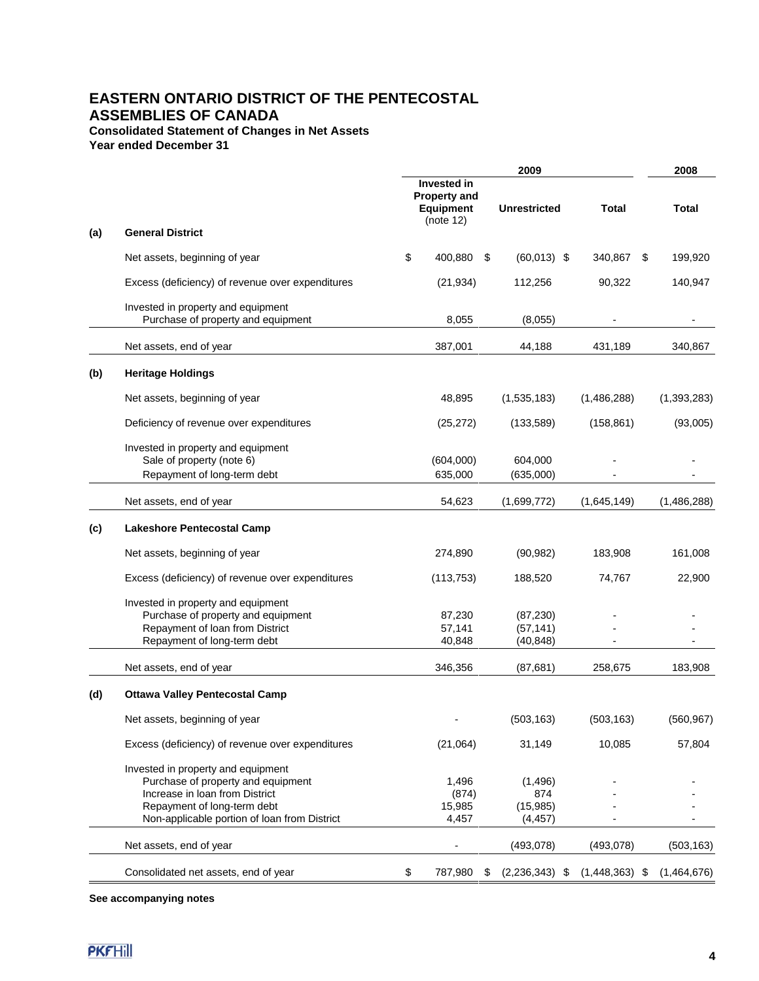# **Consolidated Statement of Changes in Net Assets**

**Year ended December 31**

|     |                                                                                                                                                                                           | 2009                                                                |      |                                         |                  |  | 2008        |
|-----|-------------------------------------------------------------------------------------------------------------------------------------------------------------------------------------------|---------------------------------------------------------------------|------|-----------------------------------------|------------------|--|-------------|
|     |                                                                                                                                                                                           | Invested in<br><b>Property and</b><br><b>Equipment</b><br>(note 12) |      | <b>Unrestricted</b>                     | <b>Total</b>     |  | Total       |
| (a) | <b>General District</b>                                                                                                                                                                   |                                                                     |      |                                         |                  |  |             |
|     | Net assets, beginning of year                                                                                                                                                             | \$<br>400,880                                                       | - \$ | $(60,013)$ \$                           | 340,867 \$       |  | 199,920     |
|     | Excess (deficiency) of revenue over expenditures                                                                                                                                          | (21, 934)                                                           |      | 112,256                                 | 90,322           |  | 140,947     |
|     | Invested in property and equipment<br>Purchase of property and equipment                                                                                                                  | 8,055                                                               |      | (8,055)                                 |                  |  |             |
|     | Net assets, end of year                                                                                                                                                                   | 387,001                                                             |      | 44,188                                  | 431,189          |  | 340,867     |
| (b) | <b>Heritage Holdings</b>                                                                                                                                                                  |                                                                     |      |                                         |                  |  |             |
|     | Net assets, beginning of year                                                                                                                                                             | 48,895                                                              |      | (1,535,183)                             | (1,486,288)      |  | (1,393,283) |
|     | Deficiency of revenue over expenditures                                                                                                                                                   | (25, 272)                                                           |      | (133,589)                               | (158, 861)       |  | (93,005)    |
|     | Invested in property and equipment<br>Sale of property (note 6)                                                                                                                           | (604,000)                                                           |      | 604,000                                 |                  |  |             |
|     | Repayment of long-term debt                                                                                                                                                               | 635,000                                                             |      | (635,000)                               |                  |  |             |
|     | Net assets, end of year                                                                                                                                                                   | 54,623                                                              |      | (1,699,772)                             | (1,645,149)      |  | (1,486,288) |
| (c) | <b>Lakeshore Pentecostal Camp</b>                                                                                                                                                         |                                                                     |      |                                         |                  |  |             |
|     | Net assets, beginning of year                                                                                                                                                             | 274,890                                                             |      | (90, 982)                               | 183,908          |  | 161,008     |
|     | Excess (deficiency) of revenue over expenditures                                                                                                                                          | (113, 753)                                                          |      | 188,520                                 | 74,767           |  | 22,900      |
|     | Invested in property and equipment                                                                                                                                                        |                                                                     |      |                                         |                  |  |             |
|     | Purchase of property and equipment                                                                                                                                                        | 87,230                                                              |      | (87, 230)                               |                  |  |             |
|     | Repayment of loan from District                                                                                                                                                           | 57,141                                                              |      | (57, 141)                               |                  |  |             |
|     | Repayment of long-term debt                                                                                                                                                               | 40,848                                                              |      | (40, 848)                               |                  |  |             |
|     | Net assets, end of year                                                                                                                                                                   | 346,356                                                             |      | (87, 681)                               | 258,675          |  | 183,908     |
| (d) | <b>Ottawa Valley Pentecostal Camp</b>                                                                                                                                                     |                                                                     |      |                                         |                  |  |             |
|     | Net assets, beginning of year                                                                                                                                                             |                                                                     |      | (503, 163)                              | (503, 163)       |  | (560, 967)  |
|     | Excess (deficiency) of revenue over expenditures                                                                                                                                          | (21,064)                                                            |      | 31,149                                  | 10,085           |  | 57,804      |
|     | Invested in property and equipment<br>Purchase of property and equipment<br>Increase in Ioan from District<br>Repayment of long-term debt<br>Non-applicable portion of loan from District | 1,496<br>(874)<br>15,985<br>4,457                                   |      | (1,496)<br>874<br>(15, 985)<br>(4, 457) |                  |  |             |
|     | Net assets, end of year                                                                                                                                                                   |                                                                     |      | (493, 078)                              | (493, 078)       |  | (503, 163)  |
|     | Consolidated net assets, end of year                                                                                                                                                      | \$<br>787,980                                                       | \$   | $(2,236,343)$ \$                        | $(1,448,363)$ \$ |  | (1,464,676) |

**See accompanying notes**

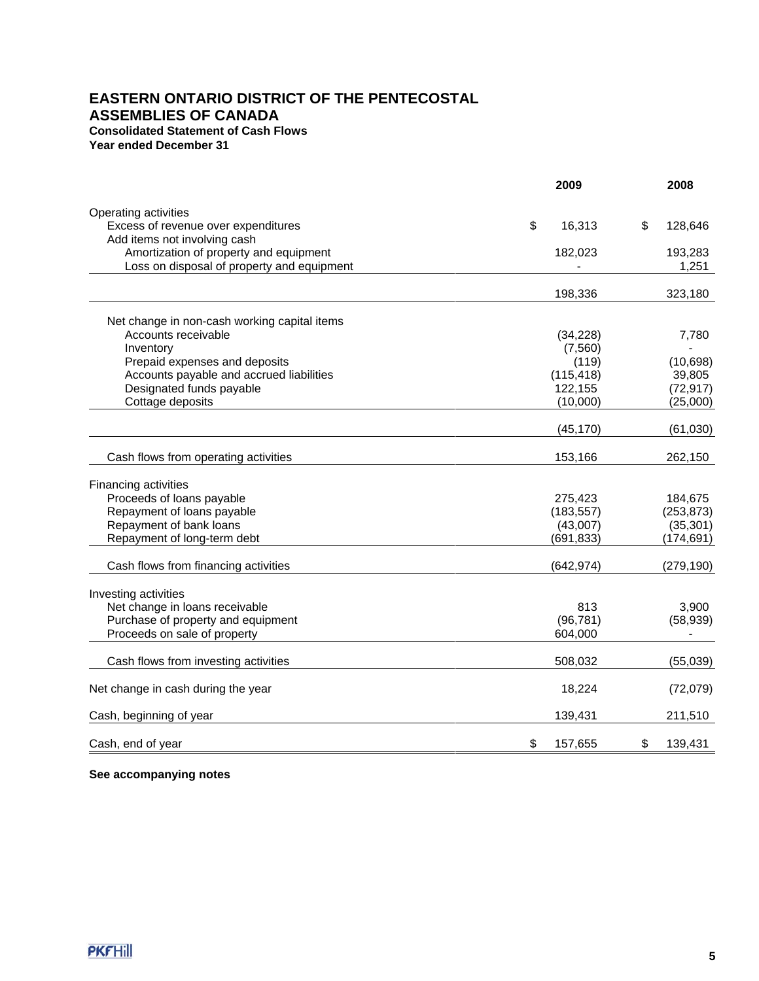# **EASTERN ONTARIO DISTRICT OF THE PENTECOSTAL ASSEMBLIES OF CANADA Consolidated Statement of Cash Flows Year ended December 31**

|                                                             | 2009          | 2008          |
|-------------------------------------------------------------|---------------|---------------|
|                                                             |               |               |
| Operating activities<br>Excess of revenue over expenditures | \$<br>16,313  | \$<br>128,646 |
| Add items not involving cash                                |               |               |
| Amortization of property and equipment                      | 182,023       | 193,283       |
| Loss on disposal of property and equipment                  |               | 1,251         |
|                                                             |               |               |
|                                                             | 198,336       | 323,180       |
| Net change in non-cash working capital items                |               |               |
| Accounts receivable                                         | (34, 228)     | 7,780         |
| Inventory                                                   | (7,560)       |               |
| Prepaid expenses and deposits                               | (119)         | (10, 698)     |
| Accounts payable and accrued liabilities                    | (115, 418)    | 39,805        |
| Designated funds payable                                    | 122,155       | (72, 917)     |
| Cottage deposits                                            | (10,000)      | (25,000)      |
|                                                             |               |               |
|                                                             | (45, 170)     | (61,030)      |
| Cash flows from operating activities                        | 153,166       | 262,150       |
| Financing activities                                        |               |               |
| Proceeds of loans payable                                   | 275,423       | 184,675       |
| Repayment of loans payable                                  | (183, 557)    | (253, 873)    |
| Repayment of bank loans                                     | (43,007)      | (35, 301)     |
| Repayment of long-term debt                                 | (691, 833)    | (174, 691)    |
|                                                             |               |               |
| Cash flows from financing activities                        | (642, 974)    | (279, 190)    |
| Investing activities                                        |               |               |
| Net change in loans receivable                              | 813           | 3,900         |
| Purchase of property and equipment                          | (96, 781)     | (58, 939)     |
| Proceeds on sale of property                                | 604,000       |               |
|                                                             |               |               |
| Cash flows from investing activities                        | 508,032       | (55,039)      |
| Net change in cash during the year                          | 18,224        | (72,079)      |
| Cash, beginning of year                                     | 139,431       | 211,510       |
| Cash, end of year                                           | \$<br>157,655 | \$<br>139,431 |
|                                                             |               |               |

**See accompanying notes**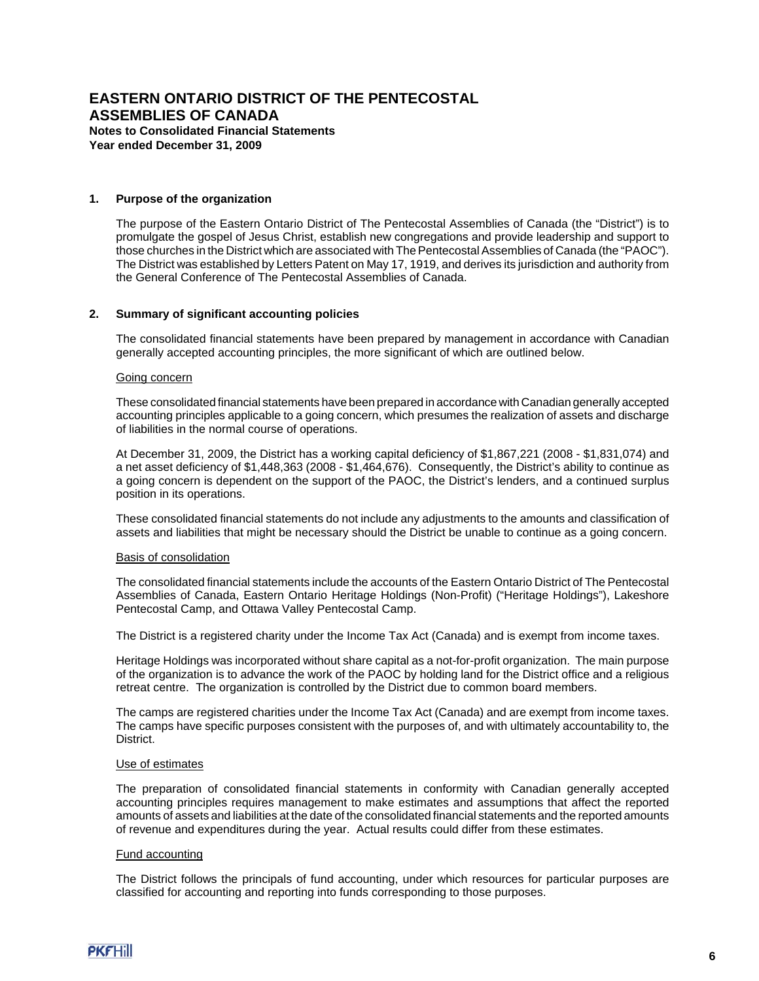### **1. Purpose of the organization**

The purpose of the Eastern Ontario District of The Pentecostal Assemblies of Canada (the "District") is to promulgate the gospel of Jesus Christ, establish new congregations and provide leadership and support to those churches in the District which are associated with The Pentecostal Assemblies of Canada (the "PAOC"). The District was established by Letters Patent on May 17, 1919, and derives its jurisdiction and authority from the General Conference of The Pentecostal Assemblies of Canada.

### **2. Summary of significant accounting policies**

The consolidated financial statements have been prepared by management in accordance with Canadian generally accepted accounting principles, the more significant of which are outlined below.

#### Going concern

These consolidated financial statements have been prepared in accordance with Canadian generally accepted accounting principles applicable to a going concern, which presumes the realization of assets and discharge of liabilities in the normal course of operations.

At December 31, 2009, the District has a working capital deficiency of \$1,867,221 (2008 - \$1,831,074) and a net asset deficiency of \$1,448,363 (2008 - \$1,464,676). Consequently, the District's ability to continue as a going concern is dependent on the support of the PAOC, the District's lenders, and a continued surplus position in its operations.

These consolidated financial statements do not include any adjustments to the amounts and classification of assets and liabilities that might be necessary should the District be unable to continue as a going concern.

#### Basis of consolidation

The consolidated financial statements include the accounts of the Eastern Ontario District of The Pentecostal Assemblies of Canada, Eastern Ontario Heritage Holdings (Non-Profit) ("Heritage Holdings"), Lakeshore Pentecostal Camp, and Ottawa Valley Pentecostal Camp.

The District is a registered charity under the Income Tax Act (Canada) and is exempt from income taxes.

Heritage Holdings was incorporated without share capital as a not-for-profit organization. The main purpose of the organization is to advance the work of the PAOC by holding land for the District office and a religious retreat centre. The organization is controlled by the District due to common board members.

The camps are registered charities under the Income Tax Act (Canada) and are exempt from income taxes. The camps have specific purposes consistent with the purposes of, and with ultimately accountability to, the District.

### Use of estimates

The preparation of consolidated financial statements in conformity with Canadian generally accepted accounting principles requires management to make estimates and assumptions that affect the reported amounts of assets and liabilities at the date of the consolidated financial statements and the reported amounts of revenue and expenditures during the year. Actual results could differ from these estimates.

#### Fund accounting

The District follows the principals of fund accounting, under which resources for particular purposes are classified for accounting and reporting into funds corresponding to those purposes.

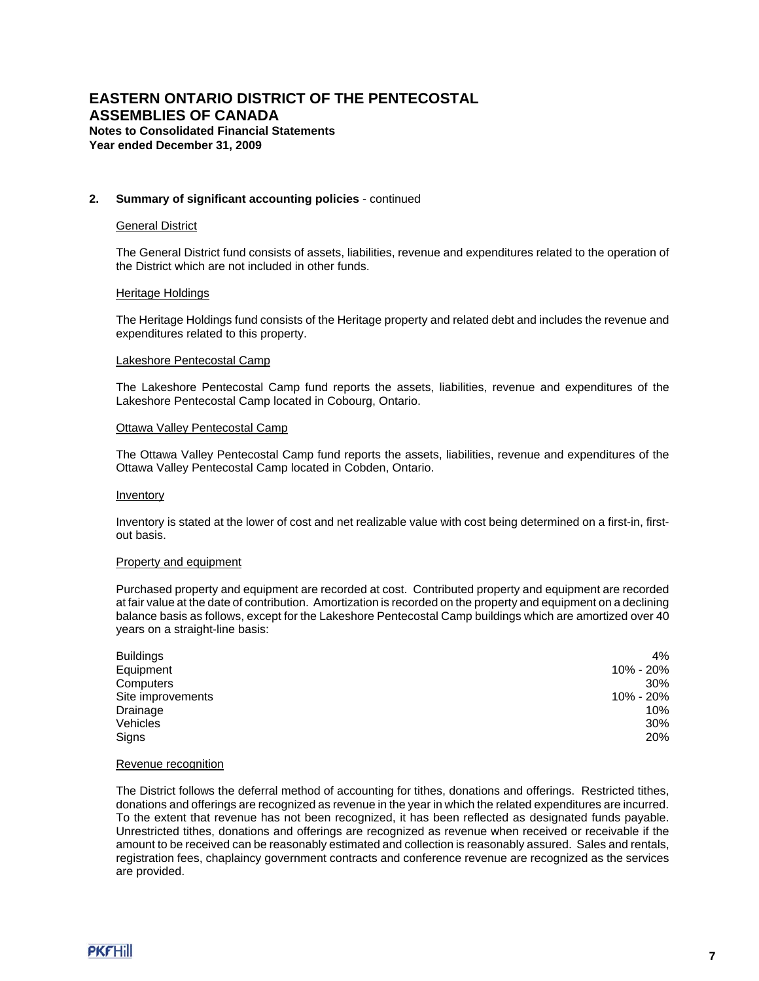### **2. Summary of significant accounting policies** - continued

### General District

The General District fund consists of assets, liabilities, revenue and expenditures related to the operation of the District which are not included in other funds.

#### Heritage Holdings

The Heritage Holdings fund consists of the Heritage property and related debt and includes the revenue and expenditures related to this property.

#### Lakeshore Pentecostal Camp

The Lakeshore Pentecostal Camp fund reports the assets, liabilities, revenue and expenditures of the Lakeshore Pentecostal Camp located in Cobourg, Ontario.

#### Ottawa Valley Pentecostal Camp

The Ottawa Valley Pentecostal Camp fund reports the assets, liabilities, revenue and expenditures of the Ottawa Valley Pentecostal Camp located in Cobden, Ontario.

#### **Inventory**

Inventory is stated at the lower of cost and net realizable value with cost being determined on a first-in, firstout basis.

#### Property and equipment

Purchased property and equipment are recorded at cost. Contributed property and equipment are recorded at fair value at the date of contribution. Amortization is recorded on the property and equipment on a declining balance basis as follows, except for the Lakeshore Pentecostal Camp buildings which are amortized over 40 years on a straight-line basis:

| 4%        |
|-----------|
| 10% - 20% |
| 30%       |
| 10% - 20% |
| 10%       |
| 30%       |
| 20%       |
|           |

#### Revenue recognition

The District follows the deferral method of accounting for tithes, donations and offerings. Restricted tithes, donations and offerings are recognized as revenue in the year in which the related expenditures are incurred. To the extent that revenue has not been recognized, it has been reflected as designated funds payable. Unrestricted tithes, donations and offerings are recognized as revenue when received or receivable if the amount to be received can be reasonably estimated and collection is reasonably assured. Sales and rentals, registration fees, chaplaincy government contracts and conference revenue are recognized as the services are provided.

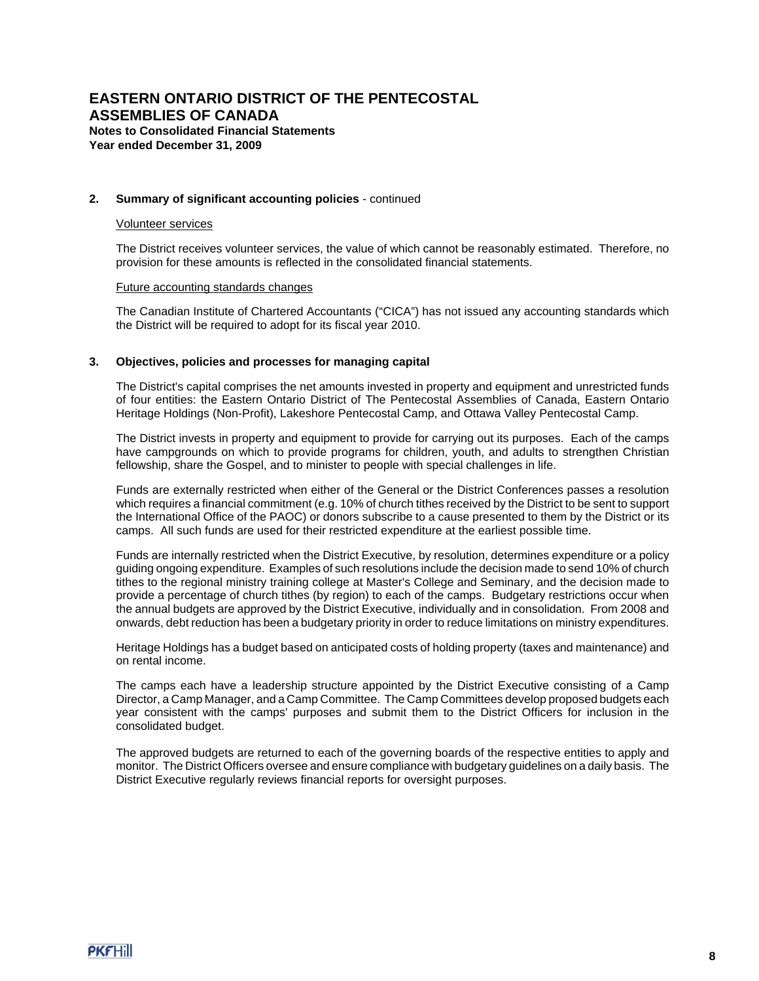### **2. Summary of significant accounting policies** - continued

### Volunteer services

The District receives volunteer services, the value of which cannot be reasonably estimated. Therefore, no provision for these amounts is reflected in the consolidated financial statements.

#### Future accounting standards changes

The Canadian Institute of Chartered Accountants ("CICA") has not issued any accounting standards which the District will be required to adopt for its fiscal year 2010.

### **3. Objectives, policies and processes for managing capital**

The District's capital comprises the net amounts invested in property and equipment and unrestricted funds of four entities: the Eastern Ontario District of The Pentecostal Assemblies of Canada, Eastern Ontario Heritage Holdings (Non-Profit), Lakeshore Pentecostal Camp, and Ottawa Valley Pentecostal Camp.

The District invests in property and equipment to provide for carrying out its purposes. Each of the camps have campgrounds on which to provide programs for children, youth, and adults to strengthen Christian fellowship, share the Gospel, and to minister to people with special challenges in life.

Funds are externally restricted when either of the General or the District Conferences passes a resolution which requires a financial commitment (e.g. 10% of church tithes received by the District to be sent to support the International Office of the PAOC) or donors subscribe to a cause presented to them by the District or its camps. All such funds are used for their restricted expenditure at the earliest possible time.

Funds are internally restricted when the District Executive, by resolution, determines expenditure or a policy guiding ongoing expenditure. Examples of such resolutions include the decision made to send 10% of church tithes to the regional ministry training college at Master's College and Seminary, and the decision made to provide a percentage of church tithes (by region) to each of the camps. Budgetary restrictions occur when the annual budgets are approved by the District Executive, individually and in consolidation. From 2008 and onwards, debt reduction has been a budgetary priority in order to reduce limitations on ministry expenditures.

Heritage Holdings has a budget based on anticipated costs of holding property (taxes and maintenance) and on rental income.

The camps each have a leadership structure appointed by the District Executive consisting of a Camp Director, a Camp Manager, and a Camp Committee. The Camp Committees develop proposed budgets each year consistent with the camps' purposes and submit them to the District Officers for inclusion in the consolidated budget.

The approved budgets are returned to each of the governing boards of the respective entities to apply and monitor. The District Officers oversee and ensure compliance with budgetary guidelines on a daily basis. The District Executive regularly reviews financial reports for oversight purposes.

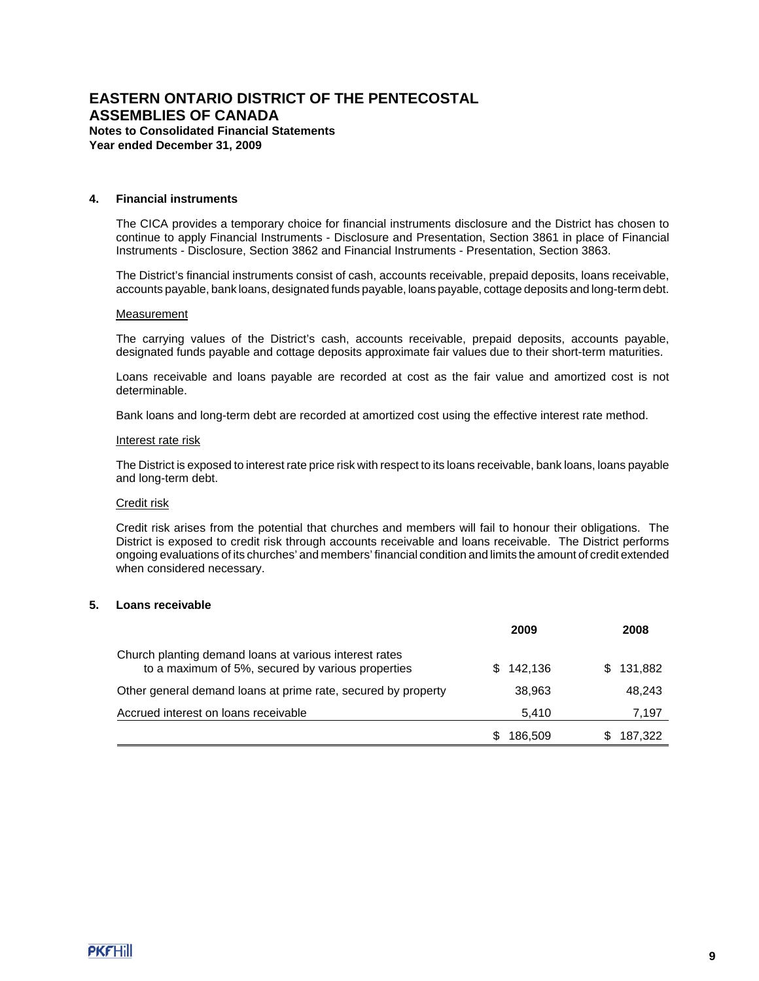**Year ended December 31, 2009**

### **4. Financial instruments**

The CICA provides a temporary choice for financial instruments disclosure and the District has chosen to continue to apply Financial Instruments - Disclosure and Presentation, Section 3861 in place of Financial Instruments - Disclosure, Section 3862 and Financial Instruments - Presentation, Section 3863.

The District's financial instruments consist of cash, accounts receivable, prepaid deposits, loans receivable, accounts payable, bank loans, designated funds payable, loans payable, cottage deposits and long-term debt.

#### **Measurement**

The carrying values of the District's cash, accounts receivable, prepaid deposits, accounts payable, designated funds payable and cottage deposits approximate fair values due to their short-term maturities.

Loans receivable and loans payable are recorded at cost as the fair value and amortized cost is not determinable.

Bank loans and long-term debt are recorded at amortized cost using the effective interest rate method.

#### Interest rate risk

The District is exposed to interest rate price risk with respect to its loans receivable, bank loans, loans payable and long-term debt.

### Credit risk

Credit risk arises from the potential that churches and members will fail to honour their obligations. The District is exposed to credit risk through accounts receivable and loans receivable. The District performs ongoing evaluations of its churches' and members' financial condition and limits the amount of credit extended when considered necessary.

#### **5. Loans receivable**

|                                                                                                             | 2009           | 2008           |
|-------------------------------------------------------------------------------------------------------------|----------------|----------------|
| Church planting demand loans at various interest rates<br>to a maximum of 5%, secured by various properties | 142.136<br>SS. | 131.882<br>SS. |
| Other general demand loans at prime rate, secured by property                                               | 38.963         | 48,243         |
| Accrued interest on loans receivable                                                                        | 5.410          | 7,197          |
|                                                                                                             | 186,509        | 187.322        |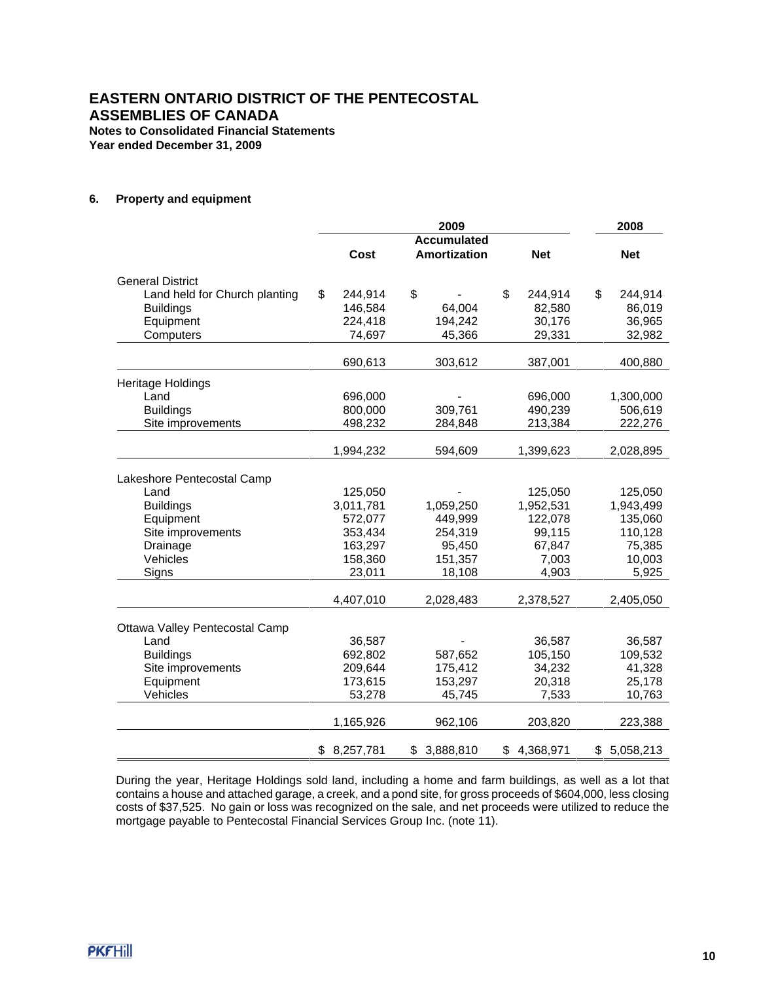**Year ended December 31, 2009**

## **6. Property and equipment**

|                                |                 | 2009                                      |                 | 2008            |
|--------------------------------|-----------------|-------------------------------------------|-----------------|-----------------|
|                                | Cost            | <b>Accumulated</b><br><b>Amortization</b> | <b>Net</b>      | <b>Net</b>      |
| <b>General District</b>        |                 |                                           |                 |                 |
| Land held for Church planting  | \$<br>244,914   | \$                                        | \$<br>244,914   | \$<br>244,914   |
| <b>Buildings</b>               | 146,584         | 64,004                                    | 82,580          | 86,019          |
| Equipment                      | 224,418         | 194,242                                   | 30,176          | 36,965          |
| Computers                      | 74,697          | 45,366                                    | 29,331          | 32,982          |
|                                | 690,613         | 303,612                                   | 387,001         | 400,880         |
| Heritage Holdings              |                 |                                           |                 |                 |
| Land                           | 696,000         |                                           | 696,000         | 1,300,000       |
| <b>Buildings</b>               | 800,000         | 309,761                                   | 490,239         | 506,619         |
| Site improvements              | 498,232         | 284,848                                   | 213,384         | 222,276         |
|                                | 1,994,232       | 594,609                                   | 1,399,623       | 2,028,895       |
| Lakeshore Pentecostal Camp     |                 |                                           |                 |                 |
| Land                           | 125,050         |                                           | 125,050         | 125,050         |
| <b>Buildings</b>               | 3,011,781       | 1,059,250                                 | 1,952,531       | 1,943,499       |
| Equipment                      | 572,077         | 449,999                                   | 122,078         | 135,060         |
| Site improvements              | 353,434         | 254,319                                   | 99,115          | 110,128         |
| Drainage                       | 163,297         | 95,450                                    | 67,847          | 75,385          |
| Vehicles                       | 158,360         | 151,357                                   | 7,003           | 10,003          |
| Signs                          | 23,011          | 18,108                                    | 4,903           | 5,925           |
|                                | 4,407,010       | 2,028,483                                 | 2,378,527       | 2,405,050       |
| Ottawa Valley Pentecostal Camp |                 |                                           |                 |                 |
| Land                           | 36,587          |                                           | 36,587          | 36,587          |
| <b>Buildings</b>               | 692,802         | 587,652                                   | 105,150         | 109,532         |
| Site improvements              | 209,644         | 175,412                                   | 34,232          | 41,328          |
| Equipment                      | 173,615         | 153,297                                   | 20,318          | 25,178          |
| Vehicles                       | 53,278          | 45,745                                    | 7,533           | 10,763          |
|                                | 1,165,926       | 962,106                                   | 203,820         | 223,388         |
|                                | \$<br>8,257,781 | \$<br>3,888,810                           | \$<br>4,368,971 | \$<br>5,058,213 |

During the year, Heritage Holdings sold land, including a home and farm buildings, as well as a lot that contains a house and attached garage, a creek, and a pond site, for gross proceeds of \$604,000, less closing costs of \$37,525. No gain or loss was recognized on the sale, and net proceeds were utilized to reduce the mortgage payable to Pentecostal Financial Services Group Inc. (note 11).

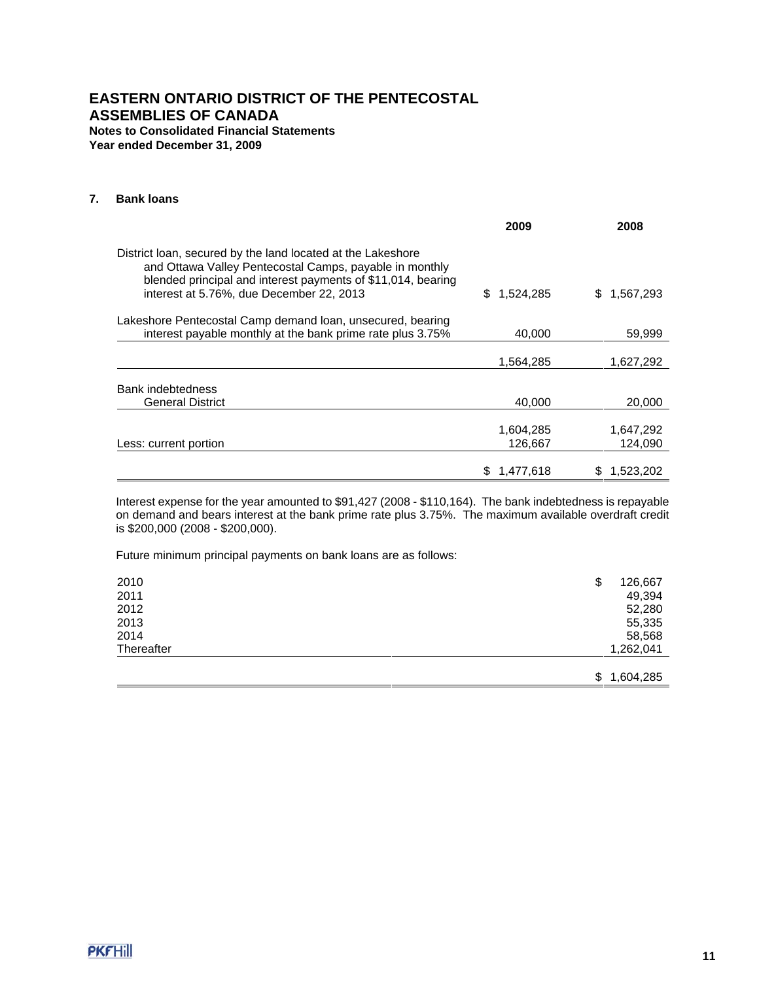## **7. Bank loans**

|                                                                                                                                                                                                                                    | 2009                 | 2008                 |
|------------------------------------------------------------------------------------------------------------------------------------------------------------------------------------------------------------------------------------|----------------------|----------------------|
| District loan, secured by the land located at the Lakeshore<br>and Ottawa Valley Pentecostal Camps, payable in monthly<br>blended principal and interest payments of \$11,014, bearing<br>interest at 5.76%, due December 22, 2013 | S.<br>1,524,285      | 1,567,293<br>S.      |
| Lakeshore Pentecostal Camp demand loan, unsecured, bearing<br>interest payable monthly at the bank prime rate plus 3.75%                                                                                                           | 40,000               | 59,999               |
|                                                                                                                                                                                                                                    | 1,564,285            | 1,627,292            |
| Bank indebtedness                                                                                                                                                                                                                  |                      |                      |
| General District                                                                                                                                                                                                                   | 40.000               | 20,000               |
| Less: current portion                                                                                                                                                                                                              | 1,604,285<br>126,667 | 1,647,292<br>124,090 |
|                                                                                                                                                                                                                                    | 1,477,618            | 1,523,202            |

Interest expense for the year amounted to \$91,427 (2008 - \$110,164). The bank indebtedness is repayable on demand and bears interest at the bank prime rate plus 3.75%. The maximum available overdraft credit is \$200,000 (2008 - \$200,000).

Future minimum principal payments on bank loans are as follows:

| 2010       | \$<br>126,667   |
|------------|-----------------|
| 2011       | 49,394          |
| 2012       | 52,280          |
| 2013       | 55,335          |
| 2014       | 58,568          |
| Thereafter | 1,262,041       |
|            |                 |
|            | \$<br>1,604,285 |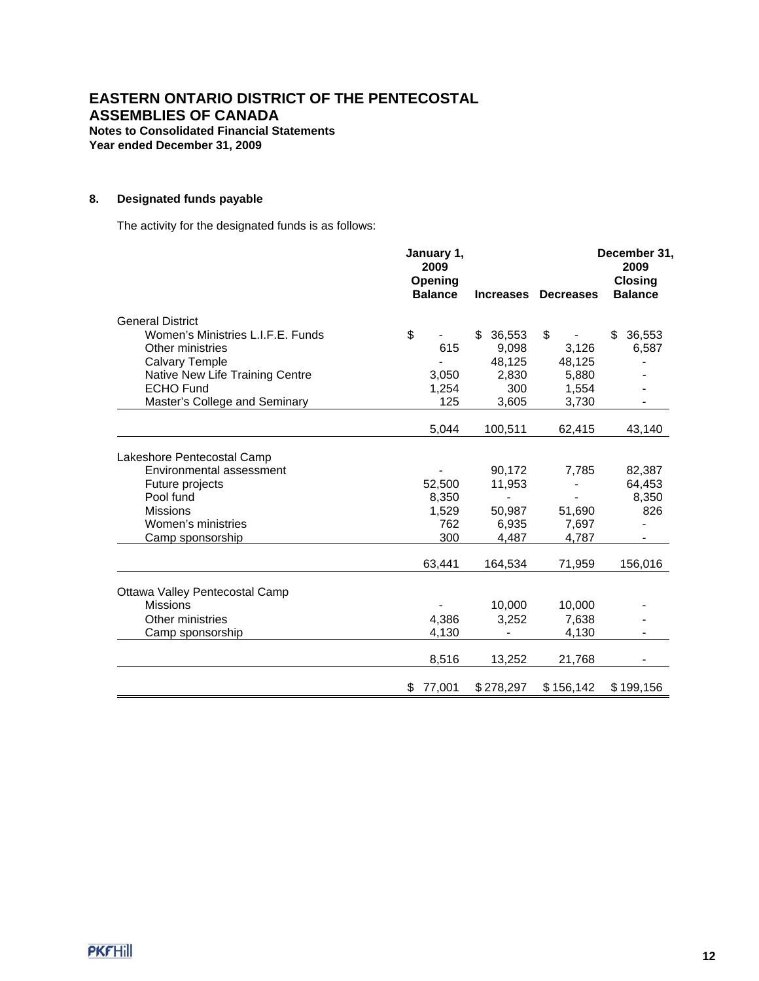**Year ended December 31, 2009**

# **8. Designated funds payable**

The activity for the designated funds is as follows:

|                                   | January 1,<br>2009<br>Opening<br><b>Balance</b> |              | Increases Decreases | December 31,<br>2009<br><b>Closing</b><br><b>Balance</b> |
|-----------------------------------|-------------------------------------------------|--------------|---------------------|----------------------------------------------------------|
| <b>General District</b>           |                                                 |              |                     |                                                          |
| Women's Ministries L.I.F.E. Funds | \$                                              | \$<br>36,553 | \$                  | 36,553<br>\$                                             |
| Other ministries                  | 615                                             | 9,098        | 3,126               | 6,587                                                    |
| <b>Calvary Temple</b>             |                                                 | 48,125       | 48,125              |                                                          |
| Native New Life Training Centre   | 3,050                                           | 2,830        | 5,880               |                                                          |
| <b>ECHO Fund</b>                  | 1,254                                           | 300          | 1,554               |                                                          |
| Master's College and Seminary     | 125                                             | 3,605        | 3,730               |                                                          |
|                                   | 5,044                                           | 100,511      | 62,415              | 43,140                                                   |
|                                   |                                                 |              |                     |                                                          |
| Lakeshore Pentecostal Camp        |                                                 |              |                     |                                                          |
| Environmental assessment          |                                                 | 90,172       | 7,785               | 82,387                                                   |
| Future projects                   | 52,500                                          | 11,953       |                     | 64,453                                                   |
| Pool fund                         | 8,350                                           |              |                     | 8,350                                                    |
| <b>Missions</b>                   | 1,529                                           | 50,987       | 51,690              | 826                                                      |
| Women's ministries                | 762                                             | 6.935        | 7.697               |                                                          |
| Camp sponsorship                  | 300                                             | 4,487        | 4,787               |                                                          |
|                                   | 63,441                                          | 164,534      | 71,959              | 156,016                                                  |
| Ottawa Valley Pentecostal Camp    |                                                 |              |                     |                                                          |
| <b>Missions</b>                   |                                                 | 10.000       | 10,000              |                                                          |
| Other ministries                  | 4,386                                           | 3,252        | 7.638               |                                                          |
| Camp sponsorship                  | 4,130                                           |              | 4,130               |                                                          |
|                                   |                                                 |              |                     |                                                          |
|                                   | 8,516                                           | 13,252       | 21,768              |                                                          |
|                                   | 77,001<br>\$                                    | \$278,297    | \$156,142           | \$199,156                                                |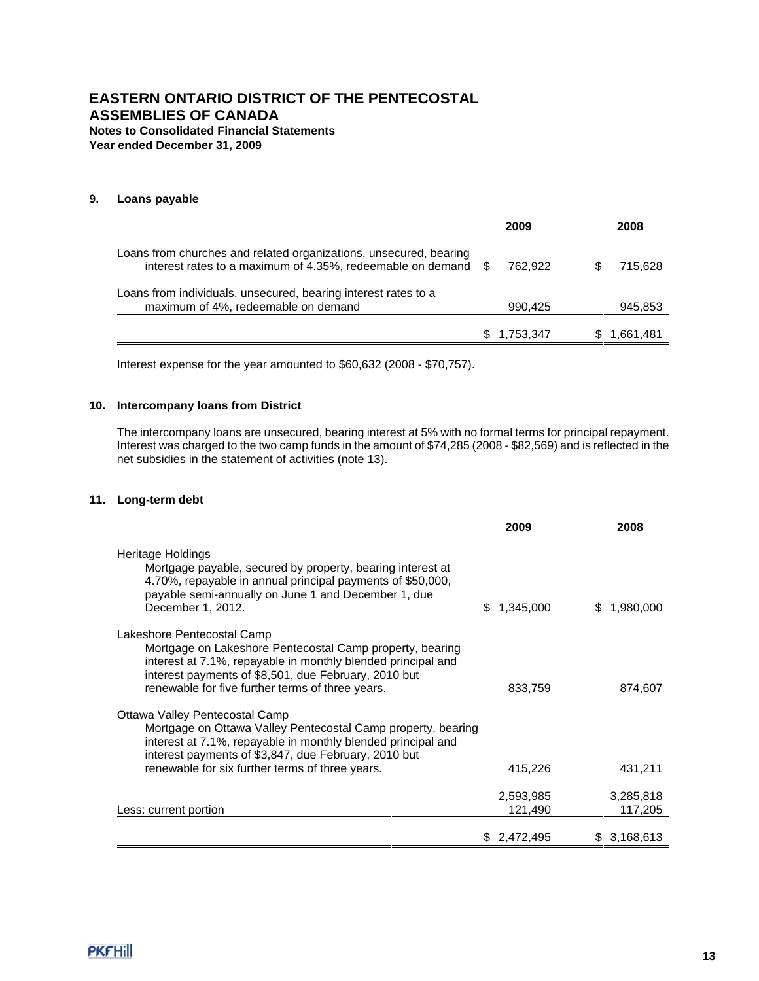**Year ended December 31, 2009**

## **9. Loans payable**

|                                                                                                                                     |     | 2009      | 2008      |
|-------------------------------------------------------------------------------------------------------------------------------------|-----|-----------|-----------|
| Loans from churches and related organizations, unsecured, bearing<br>interest rates to a maximum of 4.35%, redeemable on demand $$$ |     | 762.922   | 715.628   |
| Loans from individuals, unsecured, bearing interest rates to a<br>maximum of 4%, redeemable on demand                               |     | 990,425   | 945,853   |
|                                                                                                                                     | SS. | 1.753.347 | 1,661,481 |

Interest expense for the year amounted to \$60,632 (2008 - \$70,757).

## **10. Intercompany loans from District**

The intercompany loans are unsecured, bearing interest at 5% with no formal terms for principal repayment. Interest was charged to the two camp funds in the amount of \$74,285 (2008 - \$82,569) and is reflected in the net subsidies in the statement of activities (note 13).

## **11. Long-term debt**

|                                                                                                                                                                                                                                                                           | 2009                                 | 2008                                |
|---------------------------------------------------------------------------------------------------------------------------------------------------------------------------------------------------------------------------------------------------------------------------|--------------------------------------|-------------------------------------|
| Heritage Holdings<br>Mortgage payable, secured by property, bearing interest at<br>4.70%, repayable in annual principal payments of \$50,000,<br>payable semi-annually on June 1 and December 1, due<br>December 1, 2012.                                                 | 1,345,000                            | 1,980,000<br>\$.                    |
| Lakeshore Pentecostal Camp<br>Mortgage on Lakeshore Pentecostal Camp property, bearing<br>interest at 7.1%, repayable in monthly blended principal and<br>interest payments of \$8,501, due February, 2010 but<br>renewable for five further terms of three years.        | 833,759                              | 874,607                             |
| Ottawa Valley Pentecostal Camp<br>Mortgage on Ottawa Valley Pentecostal Camp property, bearing<br>interest at 7.1%, repayable in monthly blended principal and<br>interest payments of \$3,847, due February, 2010 but<br>renewable for six further terms of three years. | 415,226                              | 431,211                             |
| Less: current portion                                                                                                                                                                                                                                                     | 2,593,985<br>121,490<br>\$ 2,472,495 | 3,285,818<br>117,205<br>\$3,168,613 |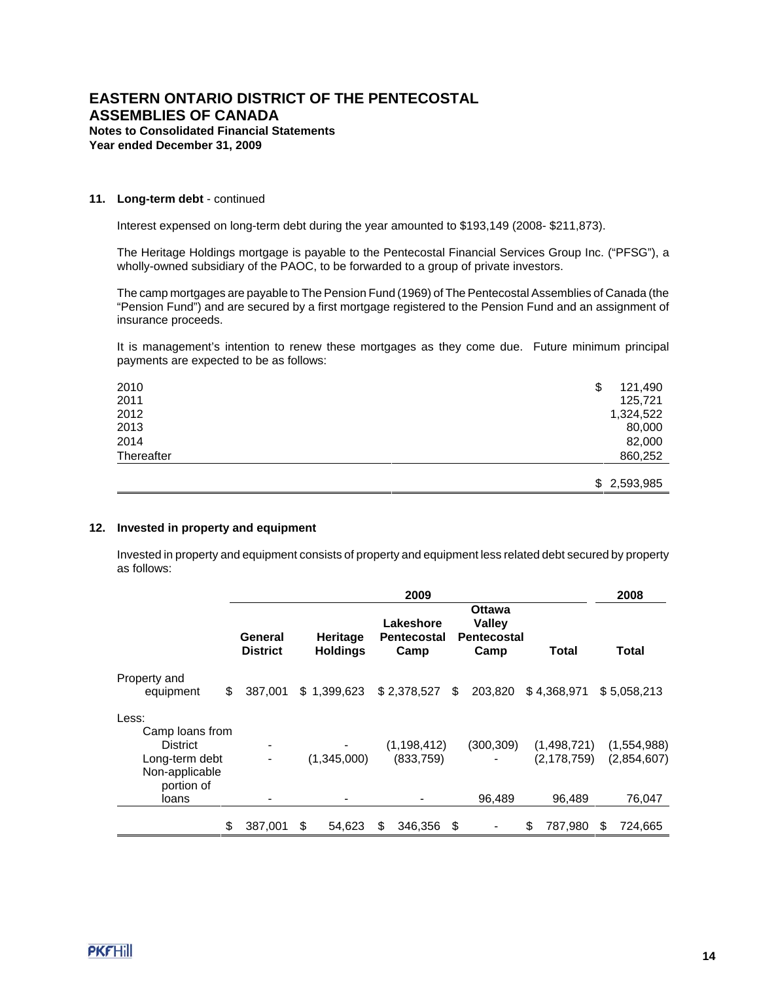### **11. Long-term debt** - continued

Interest expensed on long-term debt during the year amounted to \$193,149 (2008- \$211,873).

The Heritage Holdings mortgage is payable to the Pentecostal Financial Services Group Inc. ("PFSG"), a wholly-owned subsidiary of the PAOC, to be forwarded to a group of private investors.

The camp mortgages are payable to The Pension Fund (1969) of The Pentecostal Assemblies of Canada (the "Pension Fund") and are secured by a first mortgage registered to the Pension Fund and an assignment of insurance proceeds.

It is management's intention to renew these mortgages as they come due. Future minimum principal payments are expected to be as follows:

| 2010       | \$<br>121,490 |
|------------|---------------|
| 2011       | 125,721       |
| 2012       | 1,324,522     |
| 2013       | 80,000        |
| 2014       | 82,000        |
| Thereafter | 860,252       |
|            |               |
|            | \$2,593,985   |

### **12. Invested in property and equipment**

Invested in property and equipment consists of property and equipment less related debt secured by property as follows:

|                                                                                                        | 2009                       |    |                             |    |                                  |    |                                                       |    | 2008                                   |    |                                      |
|--------------------------------------------------------------------------------------------------------|----------------------------|----|-----------------------------|----|----------------------------------|----|-------------------------------------------------------|----|----------------------------------------|----|--------------------------------------|
|                                                                                                        | General<br><b>District</b> |    | Heritage<br><b>Holdings</b> |    | Lakeshore<br>Pentecostal<br>Camp |    | Ottawa<br><b>Valley</b><br><b>Pentecostal</b><br>Camp |    | Total                                  |    | Total                                |
| Property and<br>equipment                                                                              | \$<br>387.001              |    | \$1,399,623                 |    | \$2,378,527                      | \$ | 203,820                                               |    | \$4,368,971                            |    | \$5.058.213                          |
| Less:<br>Camp loans from<br><b>District</b><br>Long-term debt<br>Non-applicable<br>portion of<br>loans |                            |    | (1,345,000)                 |    | (1, 198, 412)<br>(833,759)       |    | (300, 309)<br>96.489                                  |    | (1,498,721)<br>(2, 178, 759)<br>96.489 |    | (1,554,988)<br>(2,854,607)<br>76.047 |
|                                                                                                        | \$<br>387,001              | \$ | 54,623                      | \$ | 346,356                          | \$ |                                                       | \$ | 787,980                                | \$ | 724,665                              |

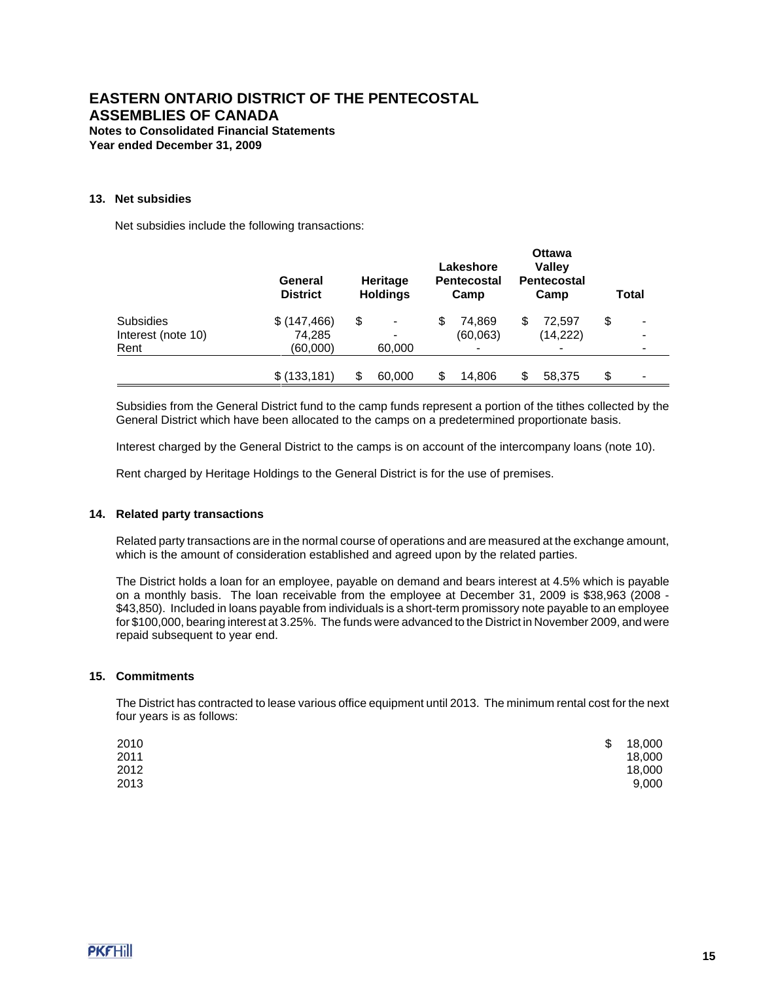### **13. Net subsidies**

Net subsidies include the following transactions:

|                    | General<br><b>District</b> | <b>Heritage</b><br><b>Holdings</b> |    | Lakeshore<br><b>Pentecostal</b><br>Camp |    | <b>Ottawa</b><br><b>Valley</b><br><b>Pentecostal</b><br>Camp | Total |   |  |
|--------------------|----------------------------|------------------------------------|----|-----------------------------------------|----|--------------------------------------------------------------|-------|---|--|
| Subsidies          | \$(147, 466)               | \$<br>-                            | S  | 74.869                                  | \$ | 72,597                                                       | \$    | - |  |
| Interest (note 10) | 74,285                     | $\overline{\phantom{a}}$           |    | (60,063)                                |    | (14, 222)                                                    |       |   |  |
| Rent               | (60,000)                   | 60,000                             |    |                                         |    |                                                              |       |   |  |
|                    | \$(133, 181)               | \$<br>60,000                       | \$ | 14,806                                  | S  | 58,375                                                       | \$    | - |  |

Subsidies from the General District fund to the camp funds represent a portion of the tithes collected by the General District which have been allocated to the camps on a predetermined proportionate basis.

Interest charged by the General District to the camps is on account of the intercompany loans (note 10).

Rent charged by Heritage Holdings to the General District is for the use of premises.

### **14. Related party transactions**

Related party transactions are in the normal course of operations and are measured at the exchange amount, which is the amount of consideration established and agreed upon by the related parties.

The District holds a loan for an employee, payable on demand and bears interest at 4.5% which is payable on a monthly basis. The loan receivable from the employee at December 31, 2009 is \$38,963 (2008 - \$43,850). Included in loans payable from individuals is a short-term promissory note payable to an employee for \$100,000, bearing interest at 3.25%. The funds were advanced to the District in November 2009, and were repaid subsequent to year end.

## **15. Commitments**

The District has contracted to lease various office equipment until 2013. The minimum rental cost for the next four years is as follows:

| 2010 | \$<br>18,000 |
|------|--------------|
| 2011 | 18,000       |
| 2012 | 18,000       |
| 2013 | 9,000        |